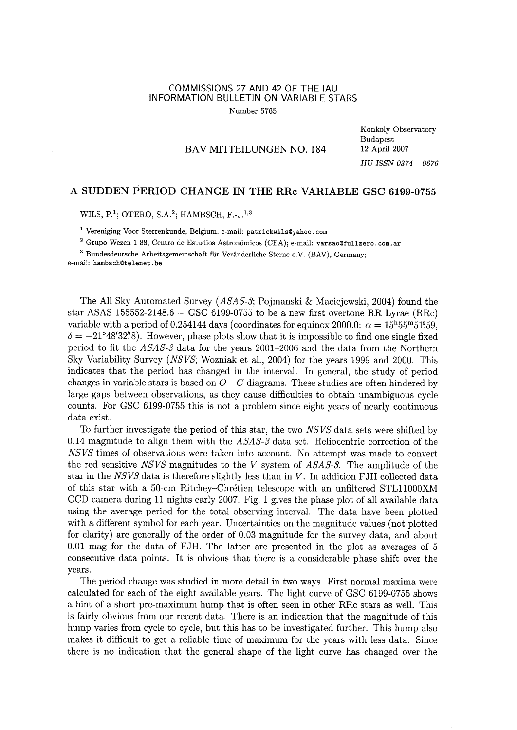## COMMISSIONS 27 AND 42 OF THE IAU INFORMATION BULLETIN ON VARIABLE STARS Number 5765

## **BAV MITTEILUNGEN NO. 184**

Konkoly Observatory **Budapest** 12 April 2007 HU ISSN 0374 - 0676

## A SUDDEN PERIOD CHANGE IN THE RRc VARIABLE GSC 6199-0755

WILS, P.<sup>1</sup>; OTERO, S.A.<sup>2</sup>; HAMBSCH, F.-J.<sup>1,3</sup>

<sup>1</sup> Vereniging Voor Sterrenkunde, Belgium; e-mail: patrickwils@yahoo.com

<sup>2</sup> Grupo Wezen 1 88, Centro de Estudios Astronómicos (CEA): e-mail: varsao@fullzero.com.ar

<sup>3</sup> Bundesdeutsche Arbeitsgemeinschaft für Veränderliche Sterne e.V. (BAV). Germany:

e-mail: hambsch@telenet.be

The All Sky Automated Survey (ASAS-3; Pojmanski & Maciejewski, 2004) found the star ASAS 155552-2148.6 = GSC 6199-0755 to be a new first overtone RR Lyrae (RRc) variable with a period of 0.254144 days (coordinates for equinox 2000.0:  $\alpha = 15^{\text{h}}55^{\text{m}}51^{\text{s}}59$ ,  $\delta = -21^{\circ}48'32''8$ . However, phase plots show that it is impossible to find one single fixed period to fit the ASAS-3 data for the years 2001-2006 and the data from the Northern Sky Variability Survey (NSVS; Wozniak et al., 2004) for the years 1999 and 2000. This indicates that the period has changed in the interval. In general, the study of period changes in variable stars is based on  $O - C$  diagrams. These studies are often hindered by large gaps between observations, as they cause difficulties to obtain unambiguous cycle counts. For GSC 6199-0755 this is not a problem since eight years of nearly continuous data exist.

To further investigate the period of this star, the two NSVS data sets were shifted by 0.14 magnitude to align them with the  $ASAS-3$  data set. Heliocentric correction of the NSVS times of observations were taken into account. No attempt was made to convert the red sensitive NSVS magnitudes to the  $V$  system of  $ASAS-3$ . The amplitude of the star in the NSVS data is therefore slightly less than in V. In addition FJH collected data of this star with a 50-cm Ritchey-Chrétien telescope with an unfiltered STL11000XM CCD camera during 11 nights early 2007. Fig. 1 gives the phase plot of all available data using the average period for the total observing interval. The data have been plotted with a different symbol for each year. Uncertainties on the magnitude values (not plotted for clarity) are generally of the order of 0.03 magnitude for the survey data, and about 0.01 mag for the data of FJH. The latter are presented in the plot as averages of 5 consecutive data points. It is obvious that there is a considerable phase shift over the vears.

The period change was studied in more detail in two ways. First normal maxima were calculated for each of the eight available years. The light curve of GSC 6199-0755 shows a hint of a short pre-maximum hump that is often seen in other RRc stars as well. This is fairly obvious from our recent data. There is an indication that the magnitude of this hump varies from cycle to cycle, but this has to be investigated further. This hump also makes it difficult to get a reliable time of maximum for the years with less data. Since there is no indication that the general shape of the light curve has changed over the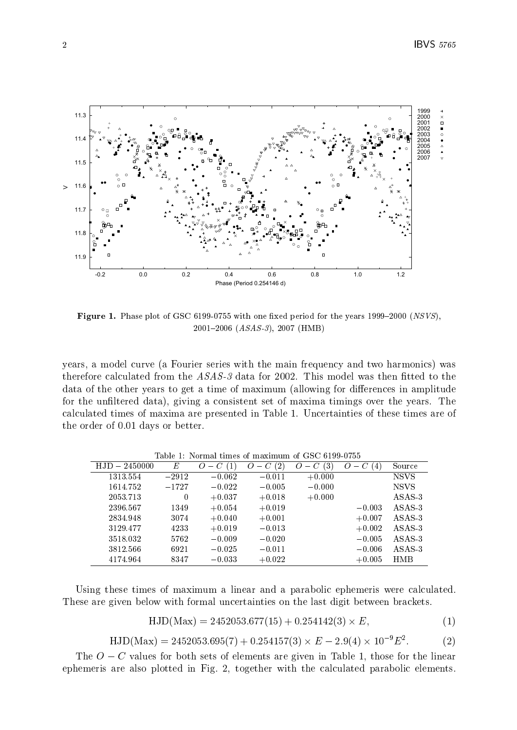

Figure 1. Phase plot of GSC 6199-0755 with one fixed period for the years 1999-2000 (NSVS), 2001-2006  $(ASAS-3)$ , 2007  $(HMB)$ 

years, a model curve (a Fourier series with the main frequency and two harmonics) was therefore calculated from the ASAS-3 data for 2002. This model was then fitted to the data of the other years to get a time of maximum (allowing for differences in amplitude for the unfiltered data), giving a consistent set of maxima timings over the years. The calculated times of maxima are presented in Table 1. Uncertainties of these times are of the order of 0.01 days or better.

| $HJD - 2450000$ | E       | $O-C$    | (2)<br>$-C$<br>O | (3)<br>$- C$<br>O | $\left(4\right)$<br>Ο<br>$- C$ | Source            |  |
|-----------------|---------|----------|------------------|-------------------|--------------------------------|-------------------|--|
| 1313.554        | $-2912$ | $-0.062$ | $-0.011$         | $+0.000$          |                                | <b>NSVS</b>       |  |
| 1614.752        | $-1727$ | $-0.022$ | $-0.005$         | $-0.000$          |                                | <b>NSVS</b>       |  |
| 2053.713        | 0       | $+0.037$ | $+0.018$         | $+0.000$          |                                | ASAS <sub>3</sub> |  |
| 2396.567        | 1349    | $+0.054$ | $+0.019$         |                   | $-0.003$                       | ASAS <sub>3</sub> |  |
| 2834.948        | 3074    | $+0.040$ | $+0.001$         |                   | $+0.007$                       | ASAS <sub>3</sub> |  |
| 3129.477        | 4233    | $+0.019$ | $-0.013$         |                   | $+0.002$                       | ASAS 3            |  |
| 3518.032        | 5762    | $-0.009$ | $-0.020$         |                   | $-0.005$                       | ASAS <sub>3</sub> |  |
| 3812.566        | 6921    | $-0.025$ | $-0.011$         |                   | $-0.006$                       | ASAS 3            |  |
| 4174.964        | 8347    | $-0.033$ | $+0.022$         |                   | $+0.005$                       | HMB               |  |

Toble 1: Normal times of merimum of CSC 6100.0755

Using these times of maximum a linear and a parabolic ephemeris were calculated. These are given below with formal uncertainties on the last digit between brackets.

$$
HJD(Max) = 2452053.677(15) + 0.254142(3) \times E,
$$
\n(1)

$$
HJD(Max) = 2452053.695(7) + 0.254157(3) \times E - 2.9(4) \times 10^{-9}E^{2}.
$$
 (2)

The  $O - C$  values for both sets of elements are given in Table 1, those for the linear ephemeris are also plotted in Fig. 2, together with the calculated parabolic elements.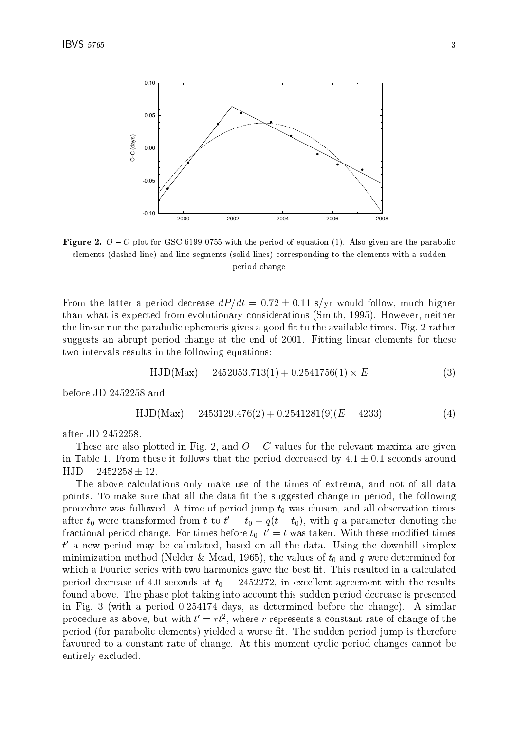

**Figure 2.**  $O - C$  plot for GSC 6199-0755 with the period of equation (1). Also given are the parabolic elements (dashed line) and line segments (solid lines) corresponding to the elements with a sudden period change

From the latter a period decrease  $dP/dt = 0.72 \pm 0.11$  s/yr would follow, much higher than what is expected from evolutionary considerations (Smith, 1995). However, neither the linear nor the parabolic ephemeris gives a good fit to the available times. Fig. 2 rather suggests an abrupt period change at the end of 2001. Fitting linear elements for these two intervals results in the following equations:

$$
HJD(Max) = 2452053.713(1) + 0.2541756(1) \times E
$$
\n(3)

before JD 2452258 and

$$
HJD(Max) = 2453129.476(2) + 0.2541281(9)(E - 4233)
$$
\n(4)

after JD 2452258.

These are also plotted in Fig. 2, and  $O - C$  values for the relevant maxima are given in Table 1. From these it follows that the period decreased by  $4.1 \pm 0.1$  seconds around  $HJD = 2452258 + 12.$ 

The above calculations only make use of the times of extrema, and not of all data points. To make sure that all the data fit the suggested change in period, the following procedure was followed. A time of period jump  $t_0$  was chosen, and all observation times after  $t_0$  were transformed from t to  $t' = t_0 + q(t - t_0)$ , with q a parameter denoting the fractional period change. For times before  $t_0, t' = t$  was taken. With these modified times  $t'$  a new period may be calculated, based on all the data. Using the downhill simplex minimization method (Nelder & Mead, 1965), the values of  $t_0$  and q were determined for which a Fourier series with two harmonics gave the best fit. This resulted in a calculated period decrease of 4.0 seconds at  $t_0 = 2452272$ , in excellent agreement with the results found above. The phase plot taking into account this sudden period decrease is presented in Fig. 3 (with a period 0.254174 days, as determined before the change). A similar procedure as above, but with  $t' = rt^2$ , where r represents a constant rate of change of the period (for parabolic elements) yielded a worse fit. The sudden period jump is therefore favoured to a constant rate of change. At this moment cyclic period changes cannot be entirely excluded.